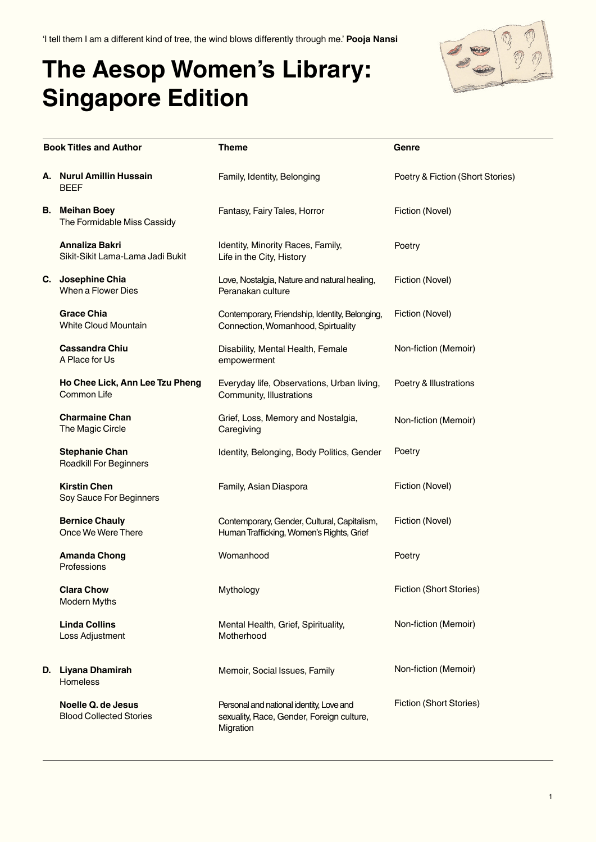'I tell them I am a different kind of tree, the wind blows differently through me.' **Pooja Nansi**

## **The Aesop Women's Library: Singapore Edition**



| <b>Book Titles and Author</b> |                                                             | <b>Theme</b>                                                                                       | Genre                            |
|-------------------------------|-------------------------------------------------------------|----------------------------------------------------------------------------------------------------|----------------------------------|
|                               | A. Nurul Amillin Hussain<br><b>BEEF</b>                     | Family, Identity, Belonging                                                                        | Poetry & Fiction (Short Stories) |
|                               | <b>B.</b> Meihan Boey<br>The Formidable Miss Cassidy        | Fantasy, Fairy Tales, Horror                                                                       | Fiction (Novel)                  |
|                               | Annaliza Bakri<br>Sikit-Sikit Lama-Lama Jadi Bukit          | Identity, Minority Races, Family,<br>Life in the City, History                                     | Poetry                           |
|                               | C. Josephine Chia<br>When a Flower Dies                     | Love, Nostalgia, Nature and natural healing,<br>Peranakan culture                                  | Fiction (Novel)                  |
|                               | <b>Grace Chia</b><br><b>White Cloud Mountain</b>            | Contemporary, Friendship, Identity, Belonging,<br>Connection, Womanhood, Spirtuality               | Fiction (Novel)                  |
|                               | <b>Cassandra Chiu</b><br>A Place for Us                     | Disability, Mental Health, Female<br>empowerment                                                   | Non-fiction (Memoir)             |
|                               | Ho Chee Lick, Ann Lee Tzu Pheng<br>Common Life              | Everyday life, Observations, Urban living,<br>Community, Illustrations                             | Poetry & Illustrations           |
|                               | <b>Charmaine Chan</b><br>The Magic Circle                   | Grief, Loss, Memory and Nostalgia,<br>Caregiving                                                   | Non-fiction (Memoir)             |
|                               | <b>Stephanie Chan</b><br><b>Roadkill For Beginners</b>      | Identity, Belonging, Body Politics, Gender                                                         | Poetry                           |
|                               | <b>Kirstin Chen</b><br>Soy Sauce For Beginners              | Family, Asian Diaspora                                                                             | Fiction (Novel)                  |
|                               | <b>Bernice Chauly</b><br>Once We Were There                 | Contemporary, Gender, Cultural, Capitalism,<br>Human Trafficking, Women's Rights, Grief            | Fiction (Novel)                  |
|                               | <b>Amanda Chong</b><br>Professions                          | Womanhood                                                                                          | Poetry                           |
|                               | <b>Clara Chow</b><br><b>Modern Myths</b>                    | Mythology                                                                                          | Fiction (Short Stories)          |
|                               | <b>Linda Collins</b><br>Loss Adjustment                     | Mental Health, Grief, Spirituality,<br>Motherhood                                                  | Non-fiction (Memoir)             |
|                               | D. Liyana Dhamirah<br><b>Homeless</b>                       | Memoir, Social Issues, Family                                                                      | Non-fiction (Memoir)             |
|                               | <b>Noelle Q. de Jesus</b><br><b>Blood Collected Stories</b> | Personal and national identity, Love and<br>sexuality, Race, Gender, Foreign culture,<br>Migration | <b>Fiction (Short Stories)</b>   |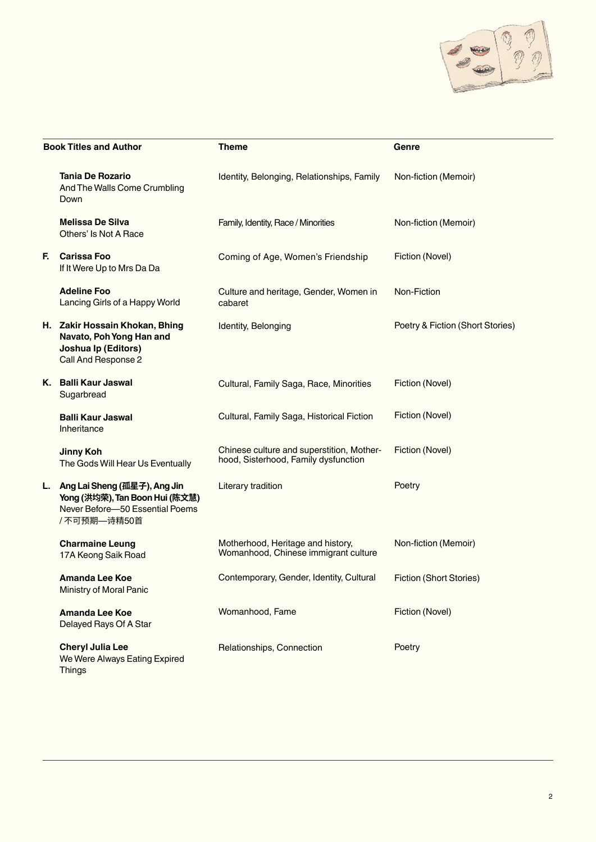

| <b>Book Titles and Author</b> |                                                                                                                   | <b>Theme</b>                                                                      | Genre                            |
|-------------------------------|-------------------------------------------------------------------------------------------------------------------|-----------------------------------------------------------------------------------|----------------------------------|
|                               | <b>Tania De Rozario</b><br>And The Walls Come Crumbling<br>Down                                                   | Identity, Belonging, Relationships, Family                                        | Non-fiction (Memoir)             |
|                               | <b>Melissa De Silva</b><br>Others' Is Not A Race                                                                  | Family, Identity, Race / Minorities                                               | Non-fiction (Memoir)             |
| F.                            | <b>Carissa Foo</b><br>If It Were Up to Mrs Da Da                                                                  | Coming of Age, Women's Friendship                                                 | Fiction (Novel)                  |
|                               | <b>Adeline Foo</b><br>Lancing Girls of a Happy World                                                              | Culture and heritage, Gender, Women in<br>cabaret                                 | Non-Fiction                      |
|                               | H. Zakir Hossain Khokan, Bhing<br>Navato, Poh Yong Han and<br>Joshua Ip (Editors)<br>Call And Response 2          | Identity, Belonging                                                               | Poetry & Fiction (Short Stories) |
|                               | K. Balli Kaur Jaswal<br>Sugarbread                                                                                | Cultural, Family Saga, Race, Minorities                                           | Fiction (Novel)                  |
|                               | <b>Balli Kaur Jaswal</b><br>Inheritance                                                                           | Cultural, Family Saga, Historical Fiction                                         | Fiction (Novel)                  |
|                               | <b>Jinny Koh</b><br>The Gods Will Hear Us Eventually                                                              | Chinese culture and superstition, Mother-<br>hood, Sisterhood, Family dysfunction | Fiction (Novel)                  |
| L.                            | Ang Lai Sheng (孤星子), Ang Jin<br>Yong (洪均荣), Tan Boon Hui (陈文慧)<br>Never Before-50 Essential Poems<br>/不可预期––诗精50首 | Literary tradition                                                                | Poetry                           |
|                               | <b>Charmaine Leung</b><br>17A Keong Saik Road                                                                     | Motherhood, Heritage and history,<br>Womanhood, Chinese immigrant culture         | Non-fiction (Memoir)             |
|                               | Amanda Lee Koe<br>Ministry of Moral Panic                                                                         | Contemporary, Gender, Identity, Cultural                                          | Fiction (Short Stories)          |
|                               | <b>Amanda Lee Koe</b><br>Delayed Rays Of A Star                                                                   | Womanhood, Fame                                                                   | Fiction (Novel)                  |
|                               | <b>Cheryl Julia Lee</b><br>We Were Always Eating Expired<br><b>Things</b>                                         | Relationships, Connection                                                         | Poetry                           |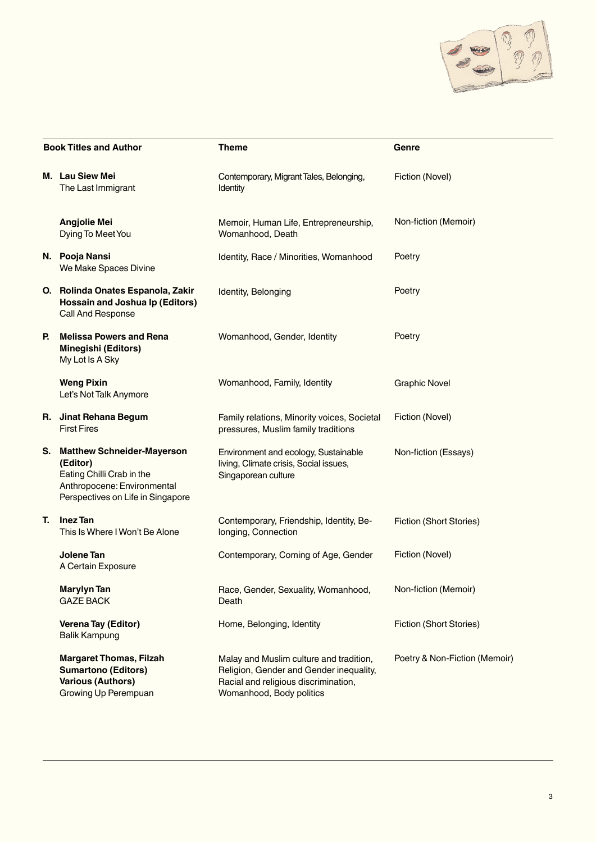

| <b>Book Titles and Author</b> |                                                                                                                                                | <b>Theme</b>                                                                                                                                           | Genre                          |
|-------------------------------|------------------------------------------------------------------------------------------------------------------------------------------------|--------------------------------------------------------------------------------------------------------------------------------------------------------|--------------------------------|
|                               | M. Lau Siew Mei<br>The Last Immigrant                                                                                                          | Contemporary, Migrant Tales, Belonging,<br>Identity                                                                                                    | Fiction (Novel)                |
|                               | <b>Angjolie Mei</b><br>Dying To Meet You                                                                                                       | Memoir, Human Life, Entrepreneurship,<br>Womanhood, Death                                                                                              | Non-fiction (Memoir)           |
|                               | N. Pooja Nansi<br>We Make Spaces Divine                                                                                                        | Identity, Race / Minorities, Womanhood                                                                                                                 | Poetry                         |
|                               | O. Rolinda Onates Espanola, Zakir<br><b>Hossain and Joshua Ip (Editors)</b><br>Call And Response                                               | Identity, Belonging                                                                                                                                    | Poetry                         |
| Р.                            | <b>Melissa Powers and Rena</b><br>Minegishi (Editors)<br>My Lot Is A Sky                                                                       | Womanhood, Gender, Identity                                                                                                                            | Poetry                         |
|                               | <b>Weng Pixin</b><br>Let's Not Talk Anymore                                                                                                    | Womanhood, Family, Identity                                                                                                                            | <b>Graphic Novel</b>           |
|                               | R. Jinat Rehana Begum<br><b>First Fires</b>                                                                                                    | Family relations, Minority voices, Societal<br>pressures, Muslim family traditions                                                                     | Fiction (Novel)                |
| S.                            | <b>Matthew Schneider-Mayerson</b><br>(Editor)<br>Eating Chilli Crab in the<br>Anthropocene: Environmental<br>Perspectives on Life in Singapore | Environment and ecology, Sustainable<br>living, Climate crisis, Social issues,<br>Singaporean culture                                                  | Non-fiction (Essays)           |
| Т.                            | <b>Inez Tan</b><br>This Is Where I Won't Be Alone                                                                                              | Contemporary, Friendship, Identity, Be-<br>longing, Connection                                                                                         | Fiction (Short Stories)        |
|                               | <b>Jolene Tan</b><br>A Certain Exposure                                                                                                        | Contemporary, Coming of Age, Gender                                                                                                                    | Fiction (Novel)                |
|                               | Marylyn Tan<br><b>GAZE BACK</b>                                                                                                                | Race, Gender, Sexuality, Womanhood,<br>Death                                                                                                           | Non-fiction (Memoir)           |
|                               | Verena Tay (Editor)<br><b>Balik Kampung</b>                                                                                                    | Home, Belonging, Identity                                                                                                                              | <b>Fiction (Short Stories)</b> |
|                               | <b>Margaret Thomas, Filzah</b><br><b>Sumartono (Editors)</b><br><b>Various (Authors)</b><br>Growing Up Perempuan                               | Malay and Muslim culture and tradition,<br>Religion, Gender and Gender inequality,<br>Racial and religious discrimination,<br>Womanhood, Body politics | Poetry & Non-Fiction (Memoir)  |